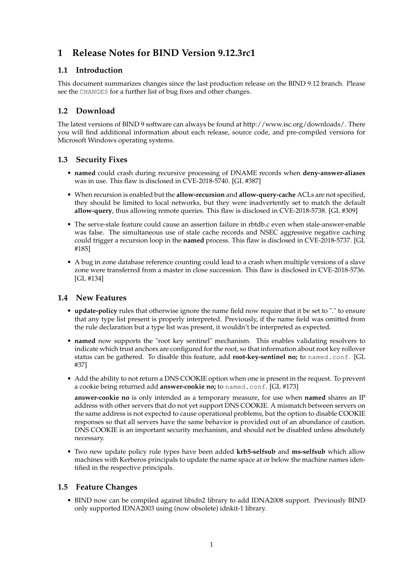# **1 Release Notes for BIND Version 9.12.3rc1**

### **1.1 Introduction**

This document summarizes changes since the last production release on the BIND 9.12 branch. Please see the CHANGES for a further list of bug fixes and other changes.

## **1.2 Download**

The latest versions of BIND 9 software can always be found at http://www.isc.org/downloads/. There you will find additional information about each release, source code, and pre-compiled versions for Microsoft Windows operating systems.

### **1.3 Security Fixes**

- **named** could crash during recursive processing of DNAME records when **deny-answer-aliases** was in use. This flaw is disclosed in CVE-2018-5740. [GL #387]
- When recursion is enabled but the **allow-recursion** and **allow-query-cache** ACLs are not specified, they should be limited to local networks, but they were inadvertently set to match the default **allow-query**, thus allowing remote queries. This flaw is disclosed in CVE-2018-5738. [GL #309]
- The serve-stale feature could cause an assertion failure in rbtdb.c even when stale-answer-enable was false. The simultaneous use of stale cache records and NSEC aggressive negative caching could trigger a recursion loop in the **named** process. This flaw is disclosed in CVE-2018-5737. [GL #185]
- A bug in zone database reference counting could lead to a crash when multiple versions of a slave zone were transferred from a master in close succession. This flaw is disclosed in CVE-2018-5736. [GL #134]

### **1.4 New Features**

- **update-policy** rules that otherwise ignore the name field now require that it be set to "." to ensure that any type list present is properly interpreted. Previously, if the name field was omitted from the rule declaration but a type list was present, it wouldn't be interpreted as expected.
- **named** now supports the "root key sentinel" mechanism. This enables validating resolvers to indicate which trust anchors are configured for the root, so that information about root key rollover status can be gathered. To disable this feature, add **root-key-sentinel no;** to named.conf. [GL #37]
- Add the ability to not return a DNS COOKIE option when one is present in the request. To prevent a cookie being returned add **answer-cookie no;** to named.conf. [GL #173]

**answer-cookie no** is only intended as a temporary measure, for use when **named** shares an IP address with other servers that do not yet support DNS COOKIE. A mismatch between servers on the same address is not expected to cause operational problems, but the option to disable COOKIE responses so that all servers have the same behavior is provided out of an abundance of caution. DNS COOKIE is an important security mechanism, and should not be disabled unless absolutely necessary.

• Two new update policy rule types have been added **krb5-selfsub** and **ms-selfsub** which allow machines with Kerberos principals to update the name space at or below the machine names identified in the respective principals.

### **1.5 Feature Changes**

• BIND now can be compiled against libidn2 library to add IDNA2008 support. Previously BIND only supported IDNA2003 using (now obsolete) idnkit-1 library.